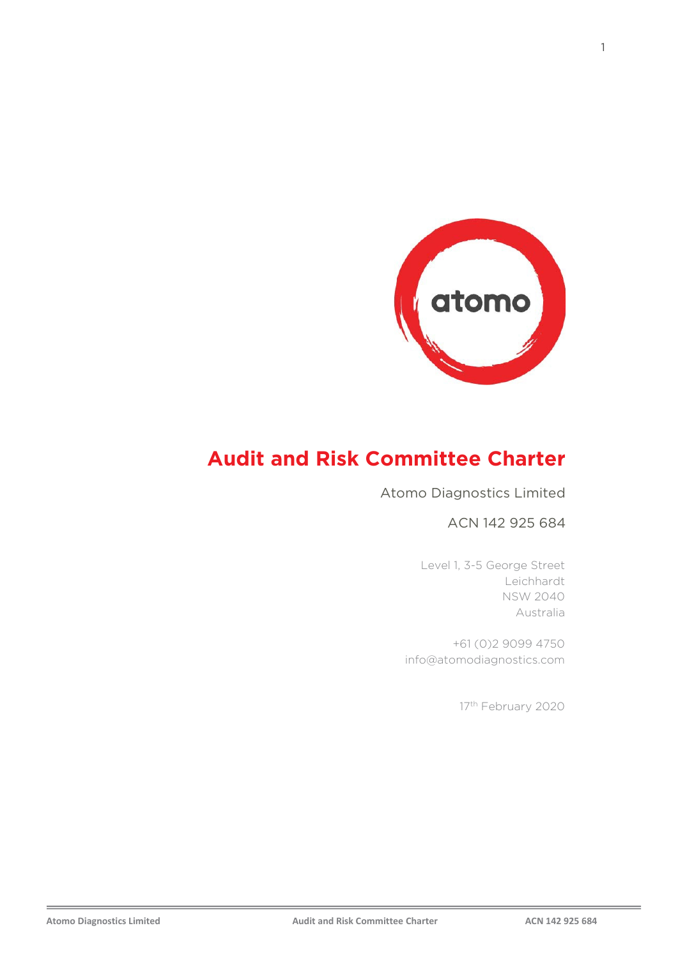

# **Audit and Risk Committee Charter**

#### Atomo Diagnostics Limited

#### ACN 142 925 684

Level 1, 3-5 George Street Leichhardt NSW 2040 Australia

+61 (0)2 9099 4750 info@atomodiagnostics.com

17<sup>th</sup> February 2020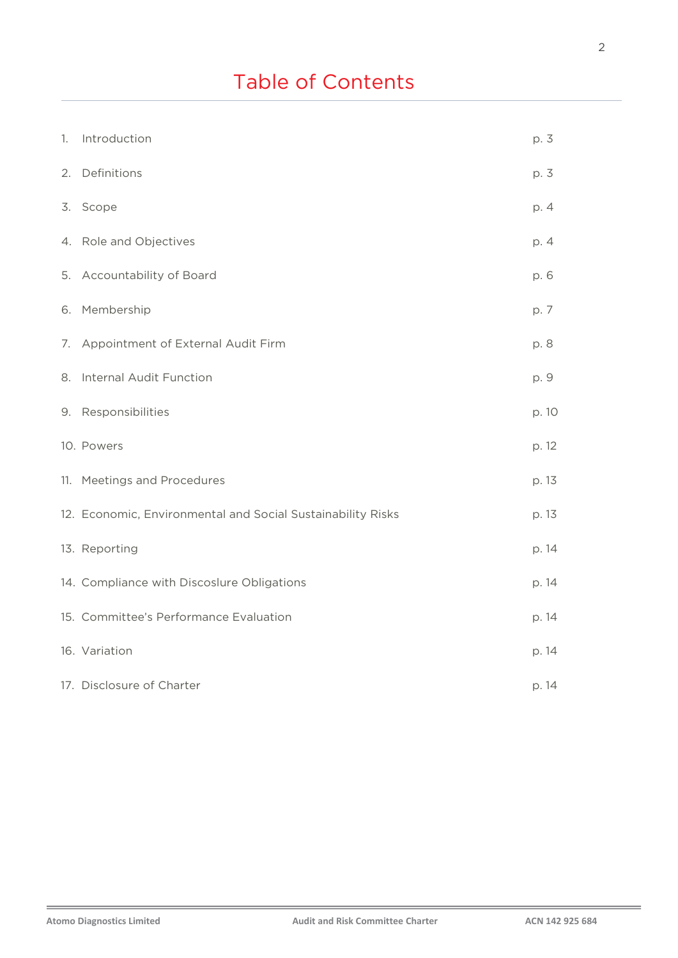| 1. | Introduction                                                | p. 3  |
|----|-------------------------------------------------------------|-------|
| 2. | Definitions                                                 | p. 3  |
|    | 3. Scope                                                    | p. 4  |
|    | 4. Role and Objectives                                      | p. 4  |
|    | 5. Accountability of Board                                  | p. 6  |
|    | 6. Membership                                               | p. 7  |
|    | 7. Appointment of External Audit Firm                       | p. 8  |
| 8. | Internal Audit Function                                     | p. 9  |
|    | 9. Responsibilities                                         | p. 10 |
|    | 10. Powers                                                  | p. 12 |
|    | 11. Meetings and Procedures                                 | p. 13 |
|    | 12. Economic, Environmental and Social Sustainability Risks | p. 13 |
|    | 13. Reporting                                               | p. 14 |
|    | 14. Compliance with Discoslure Obligations                  | p. 14 |
|    | 15. Committee's Performance Evaluation                      | p. 14 |
|    | 16. Variation                                               | p. 14 |
|    | 17. Disclosure of Charter                                   | p. 14 |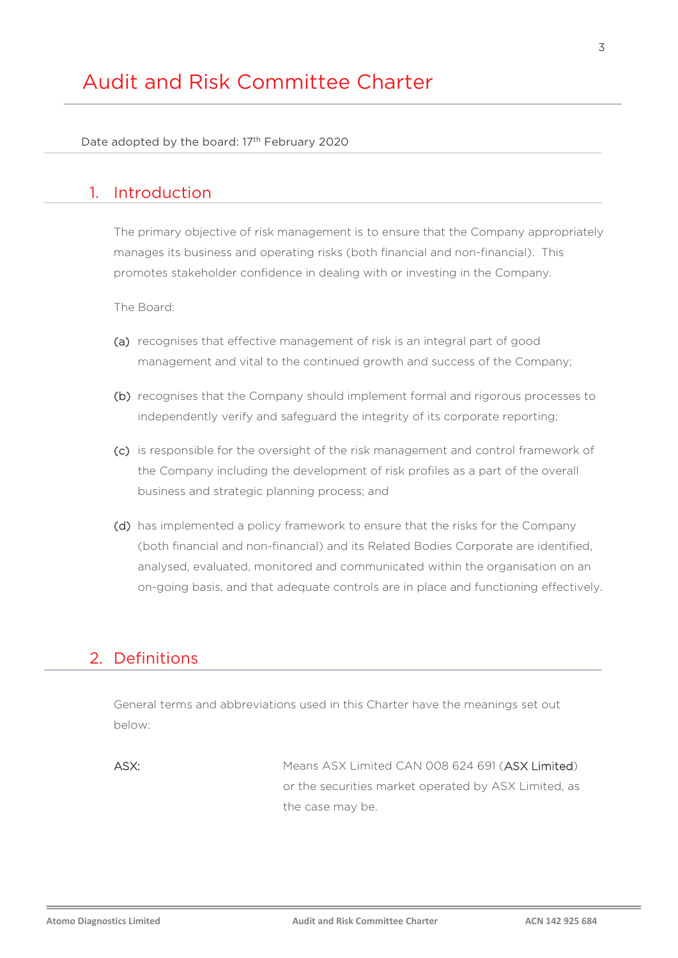# Audit and Risk Committee Charter

Date adopted by the board: 17<sup>th</sup> February 2020

#### 1. Introduction

The primary objective of risk management is to ensure that the Company appropriately manages its business and operating risks (both financial and non-financial). This promotes stakeholder confidence in dealing with or investing in the Company.

The Board:

- (a) recognises that effective management of risk is an integral part of good management and vital to the continued growth and success of the Company;
- (b) recognises that the Company should implement formal and rigorous processes to independently verify and safeguard the integrity of its corporate reporting;
- (c) is responsible for the oversight of the risk management and control framework of the Company including the development of risk profiles as a part of the overall business and strategic planning process; and
- (d) has implemented a policy framework to ensure that the risks for the Company (both financial and non-financial) and its Related Bodies Corporate are identified, analysed, evaluated, monitored and communicated within the organisation on an on-going basis, and that adequate controls are in place and functioning effectively.

#### 2. Definitions

General terms and abbreviations used in this Charter have the meanings set out below:

ASX: Means ASX Limited CAN 008 624 691 (ASX Limited) or the securities market operated by ASX Limited, as the case may be.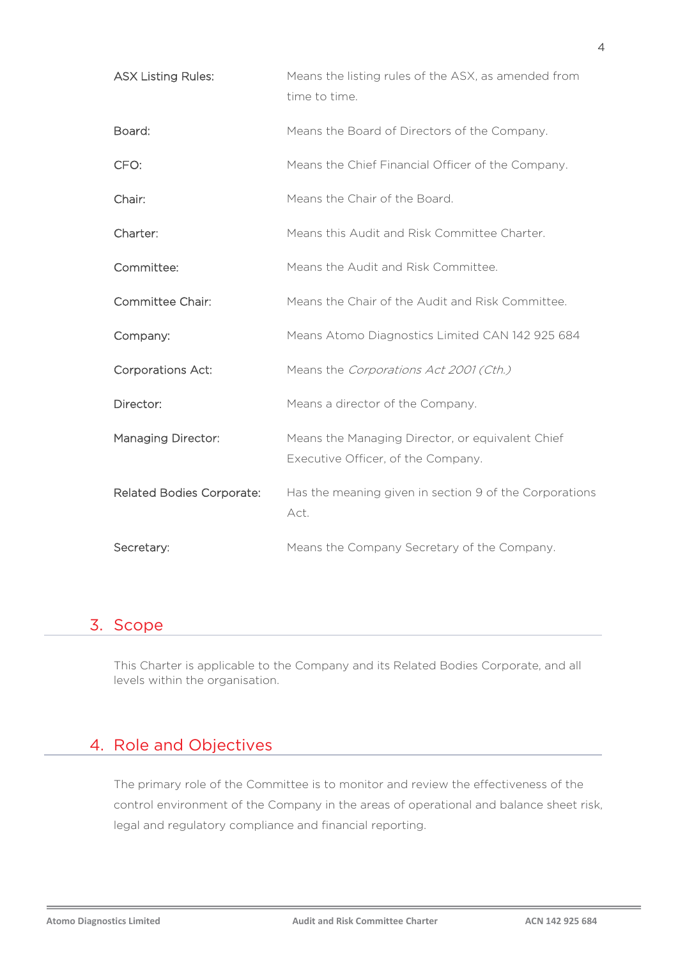| <b>ASX Listing Rules:</b>        | Means the listing rules of the ASX, as amended from<br>time to time.                   |
|----------------------------------|----------------------------------------------------------------------------------------|
| Board:                           | Means the Board of Directors of the Company.                                           |
| CFO:                             | Means the Chief Financial Officer of the Company.                                      |
| Chair:                           | Means the Chair of the Board.                                                          |
| Charter:                         | Means this Audit and Risk Committee Charter.                                           |
| Committee:                       | Means the Audit and Risk Committee.                                                    |
| <b>Committee Chair:</b>          | Means the Chair of the Audit and Risk Committee.                                       |
| Company:                         | Means Atomo Diagnostics Limited CAN 142 925 684                                        |
| <b>Corporations Act:</b>         | Means the Corporations Act 2001 (Cth.)                                                 |
| Director:                        | Means a director of the Company.                                                       |
| <b>Managing Director:</b>        | Means the Managing Director, or equivalent Chief<br>Executive Officer, of the Company. |
| <b>Related Bodies Corporate:</b> | Has the meaning given in section 9 of the Corporations<br>Act.                         |
| Secretary:                       | Means the Company Secretary of the Company.                                            |

### 3. Scope

This Charter is applicable to the Company and its Related Bodies Corporate, and all levels within the organisation.

## 4. Role and Objectives

The primary role of the Committee is to monitor and review the effectiveness of the control environment of the Company in the areas of operational and balance sheet risk, legal and regulatory compliance and financial reporting.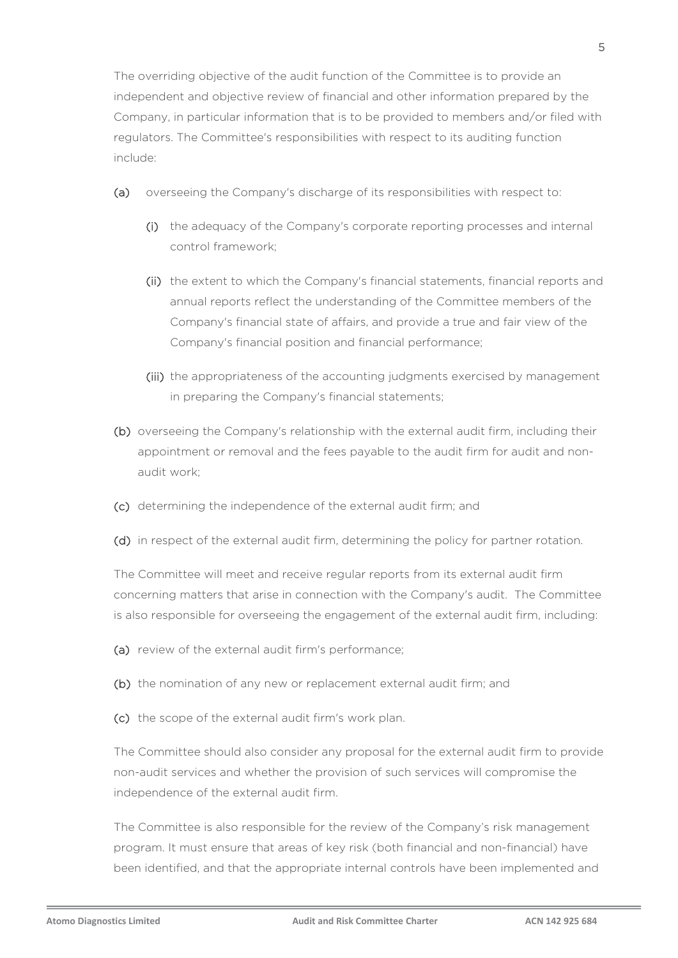The overriding objective of the audit function of the Committee is to provide an independent and objective review of financial and other information prepared by the Company, in particular information that is to be provided to members and/or filed with regulators. The Committee's responsibilities with respect to its auditing function include:

- (a) overseeing the Company's discharge of its responsibilities with respect to:
	- (i) the adequacy of the Company's corporate reporting processes and internal control framework;
	- (ii) the extent to which the Company's financial statements, financial reports and annual reports reflect the understanding of the Committee members of the Company's financial state of affairs, and provide a true and fair view of the Company's financial position and financial performance;
	- (iii) the appropriateness of the accounting judgments exercised by management in preparing the Company's financial statements;
- (b) overseeing the Company's relationship with the external audit firm, including their appointment or removal and the fees payable to the audit firm for audit and nonaudit work;
- (c) determining the independence of the external audit firm; and
- (d) in respect of the external audit firm, determining the policy for partner rotation.

The Committee will meet and receive regular reports from its external audit firm concerning matters that arise in connection with the Company's audit. The Committee is also responsible for overseeing the engagement of the external audit firm, including:

- (a) review of the external audit firm's performance;
- (b) the nomination of any new or replacement external audit firm; and
- (c) the scope of the external audit firm's work plan.

The Committee should also consider any proposal for the external audit firm to provide non-audit services and whether the provision of such services will compromise the independence of the external audit firm.

The Committee is also responsible for the review of the Company's risk management program. It must ensure that areas of key risk (both financial and non-financial) have been identified, and that the appropriate internal controls have been implemented and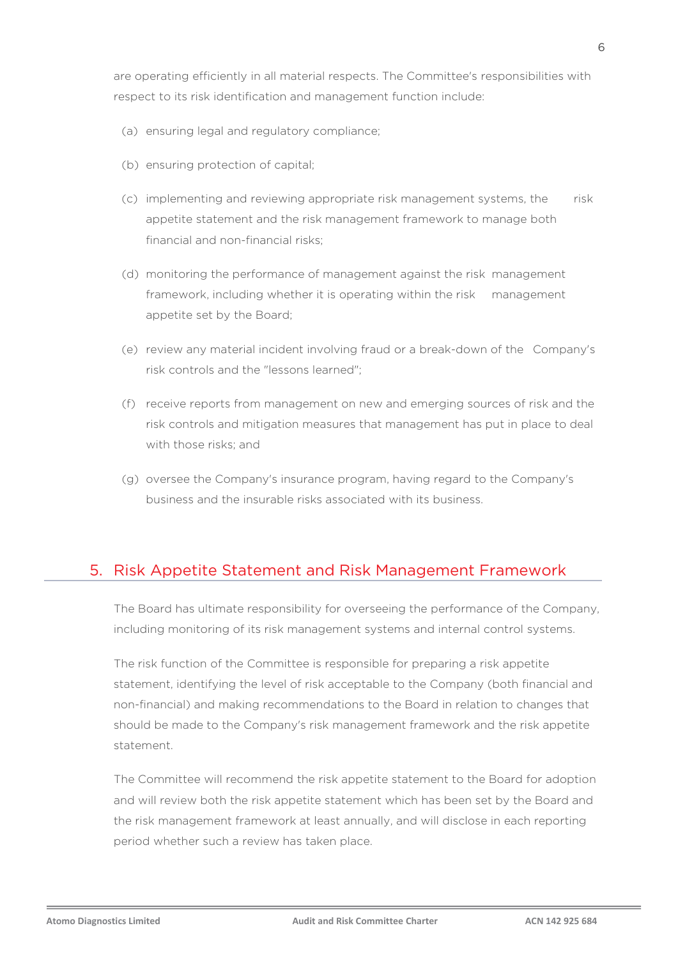are operating efficiently in all material respects. The Committee's responsibilities with respect to its risk identification and management function include:

- (a) ensuring legal and regulatory compliance;
- (b) ensuring protection of capital;
- (c) implementing and reviewing appropriate risk management systems, the risk appetite statement and the risk management framework to manage both financial and non-financial risks;
- (d) monitoring the performance of management against the risk management framework, including whether it is operating within the risk management appetite set by the Board;
- (e) review any material incident involving fraud or a break-down of the Company's risk controls and the "lessons learned";
- (f) receive reports from management on new and emerging sources of risk and the risk controls and mitigation measures that management has put in place to deal with those risks; and
- (g) oversee the Company's insurance program, having regard to the Company's business and the insurable risks associated with its business.

### 5. Risk Appetite Statement and Risk Management Framework

The Board has ultimate responsibility for overseeing the performance of the Company, including monitoring of its risk management systems and internal control systems.

The risk function of the Committee is responsible for preparing a risk appetite statement, identifying the level of risk acceptable to the Company (both financial and non-financial) and making recommendations to the Board in relation to changes that should be made to the Company's risk management framework and the risk appetite statement.

The Committee will recommend the risk appetite statement to the Board for adoption and will review both the risk appetite statement which has been set by the Board and the risk management framework at least annually, and will disclose in each reporting period whether such a review has taken place.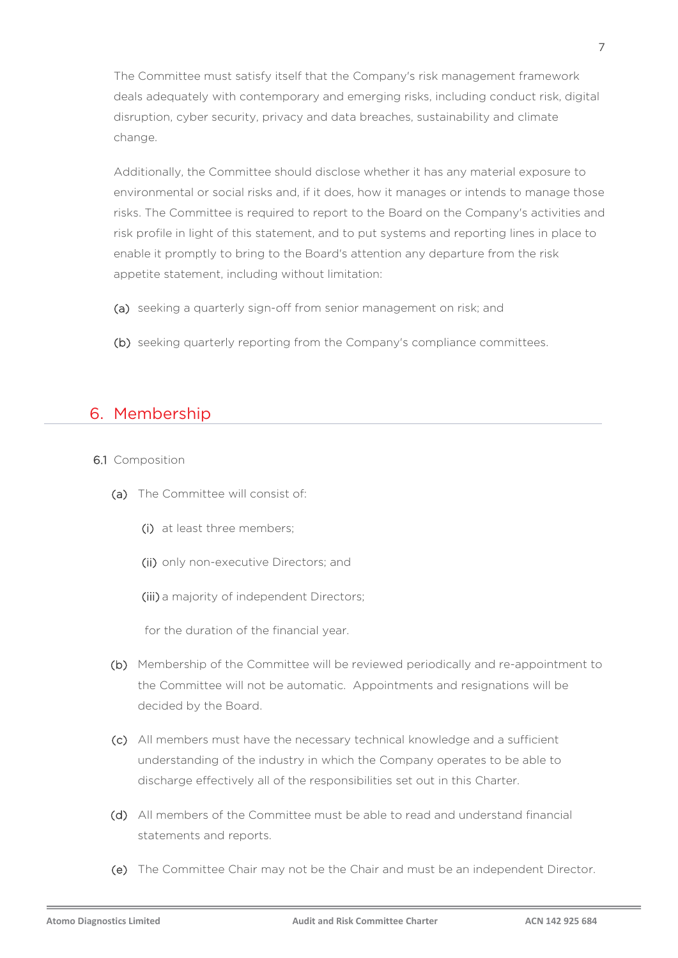The Committee must satisfy itself that the Company's risk management framework deals adequately with contemporary and emerging risks, including conduct risk, digital disruption, cyber security, privacy and data breaches, sustainability and climate change.

Additionally, the Committee should disclose whether it has any material exposure to environmental or social risks and, if it does, how it manages or intends to manage those risks. The Committee is required to report to the Board on the Company's activities and risk profile in light of this statement, and to put systems and reporting lines in place to enable it promptly to bring to the Board's attention any departure from the risk appetite statement, including without limitation:

- (a) seeking a quarterly sign-off from senior management on risk; and
- (b) seeking quarterly reporting from the Company's compliance committees.

### 6. Membership

- 6.1 Composition
	- (a) The Committee will consist of:
		- (i) at least three members;
		- (ii) only non-executive Directors; and
		- (iii) a majority of independent Directors;

for the duration of the financial year.

- (b) Membership of the Committee will be reviewed periodically and re-appointment to the Committee will not be automatic. Appointments and resignations will be decided by the Board.
- (c) All members must have the necessary technical knowledge and a sufficient understanding of the industry in which the Company operates to be able to discharge effectively all of the responsibilities set out in this Charter.
- (d) All members of the Committee must be able to read and understand financial statements and reports.
- (e) The Committee Chair may not be the Chair and must be an independent Director.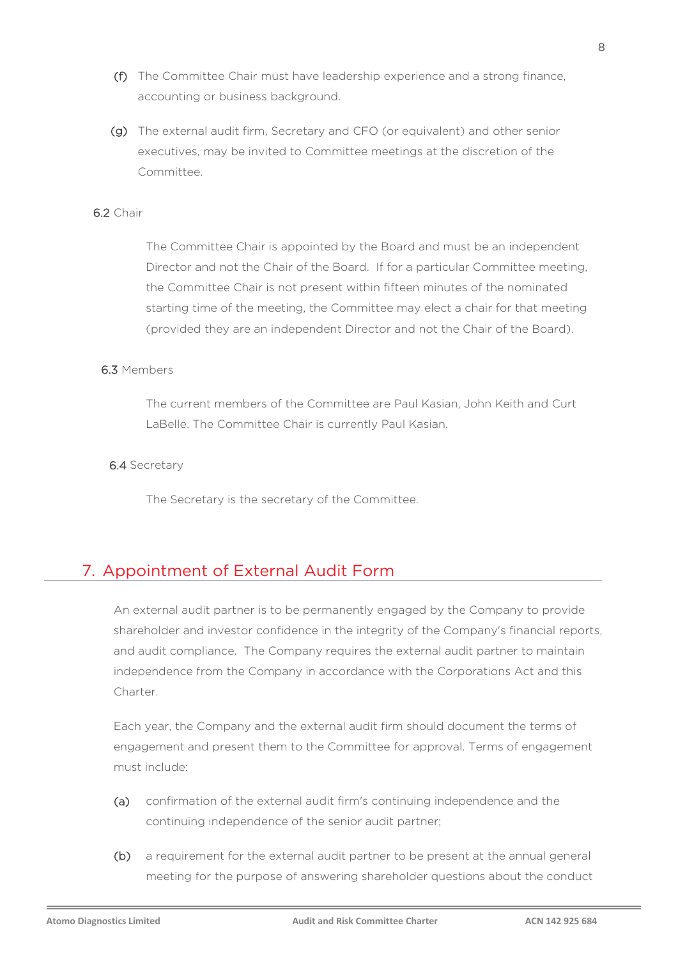- (f) The Committee Chair must have leadership experience and a strong finance, accounting or business background.
- (g) The external audit firm, Secretary and CFO (or equivalent) and other senior executives, may be invited to Committee meetings at the discretion of the Committee.

#### 6.2 Chair

The Committee Chair is appointed by the Board and must be an independent Director and not the Chair of the Board. If for a particular Committee meeting, the Committee Chair is not present within fifteen minutes of the nominated starting time of the meeting, the Committee may elect a chair for that meeting (provided they are an independent Director and not the Chair of the Board).

#### 6.3 Members

The current members of the Committee are Paul Kasian, John Keith and Curt LaBelle. The Committee Chair is currently Paul Kasian.

#### 6.4 Secretary

The Secretary is the secretary of the Committee.

### 7. Appointment of External Audit Form

An external audit partner is to be permanently engaged by the Company to provide shareholder and investor confidence in the integrity of the Company's financial reports, and audit compliance. The Company requires the external audit partner to maintain independence from the Company in accordance with the Corporations Act and this Charter.

Each year, the Company and the external audit firm should document the terms of engagement and present them to the Committee for approval. Terms of engagement must include:

- (a) confirmation of the external audit firm's continuing independence and the continuing independence of the senior audit partner;
- (b) a requirement for the external audit partner to be present at the annual general meeting for the purpose of answering shareholder questions about the conduct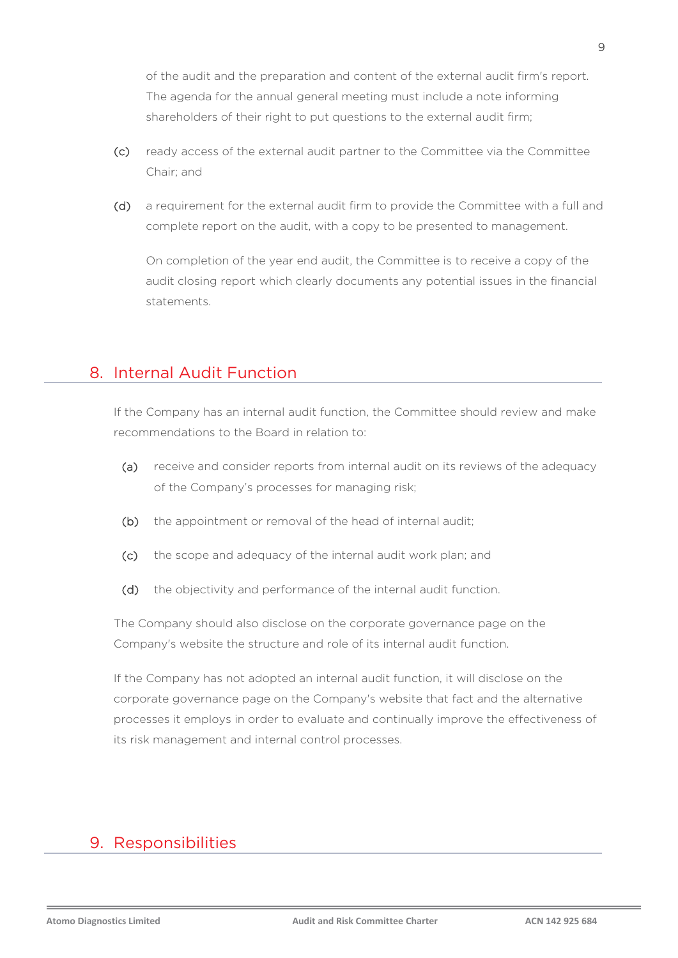of the audit and the preparation and content of the external audit firm's report. The agenda for the annual general meeting must include a note informing shareholders of their right to put questions to the external audit firm;

- (c) ready access of the external audit partner to the Committee via the Committee Chair; and
- (d) a requirement for the external audit firm to provide the Committee with a full and complete report on the audit, with a copy to be presented to management.

On completion of the year end audit, the Committee is to receive a copy of the audit closing report which clearly documents any potential issues in the financial statements.

### 8. Internal Audit Function

If the Company has an internal audit function, the Committee should review and make recommendations to the Board in relation to:

- (a) receive and consider reports from internal audit on its reviews of the adequacy of the Company's processes for managing risk;
- (b) the appointment or removal of the head of internal audit;
- (c) the scope and adequacy of the internal audit work plan; and
- (d) the objectivity and performance of the internal audit function.

The Company should also disclose on the corporate governance page on the Company's website the structure and role of its internal audit function.

If the Company has not adopted an internal audit function, it will disclose on the corporate governance page on the Company's website that fact and the alternative processes it employs in order to evaluate and continually improve the effectiveness of its risk management and internal control processes.

## 9. Responsibilities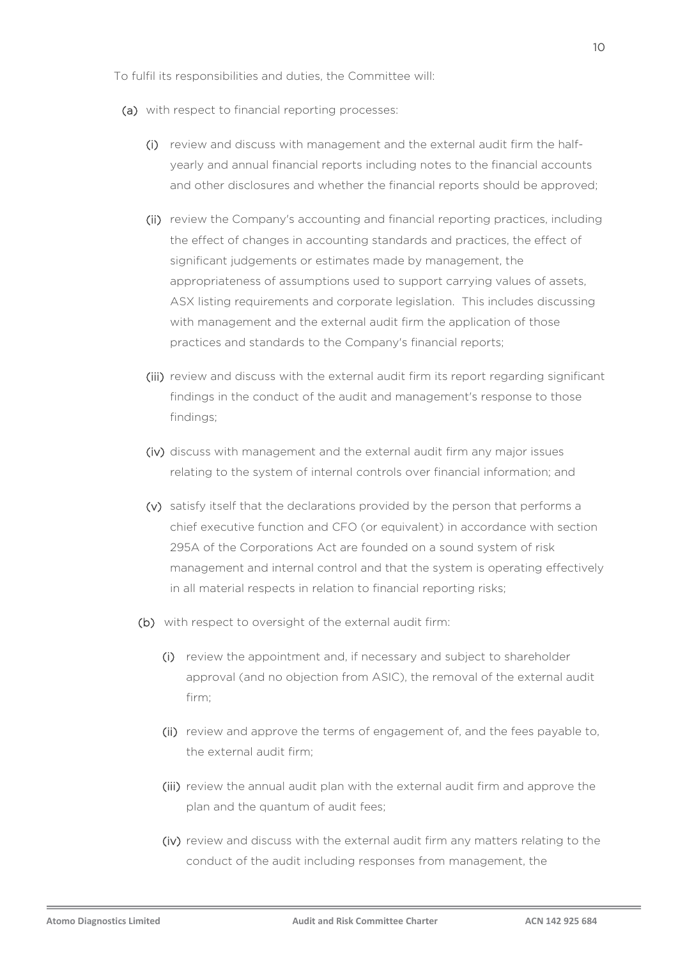To fulfil its responsibilities and duties, the Committee will:

- (a) with respect to financial reporting processes:
	- (i) review and discuss with management and the external audit firm the halfyearly and annual financial reports including notes to the financial accounts and other disclosures and whether the financial reports should be approved;
	- (ii) review the Company's accounting and financial reporting practices, including the effect of changes in accounting standards and practices, the effect of significant judgements or estimates made by management, the appropriateness of assumptions used to support carrying values of assets, ASX listing requirements and corporate legislation. This includes discussing with management and the external audit firm the application of those practices and standards to the Company's financial reports;
	- (iii) review and discuss with the external audit firm its report regarding significant findings in the conduct of the audit and management's response to those findings;
	- (iv) discuss with management and the external audit firm any major issues relating to the system of internal controls over financial information; and
	- (v) satisfy itself that the declarations provided by the person that performs a chief executive function and CFO (or equivalent) in accordance with section 295A of the Corporations Act are founded on a sound system of risk management and internal control and that the system is operating effectively in all material respects in relation to financial reporting risks;
	- (b) with respect to oversight of the external audit firm:
		- (i) review the appointment and, if necessary and subject to shareholder approval (and no objection from ASIC), the removal of the external audit firm;
		- (ii) review and approve the terms of engagement of, and the fees payable to, the external audit firm;
		- (iii) review the annual audit plan with the external audit firm and approve the plan and the quantum of audit fees;
		- (iv) review and discuss with the external audit firm any matters relating to the conduct of the audit including responses from management, the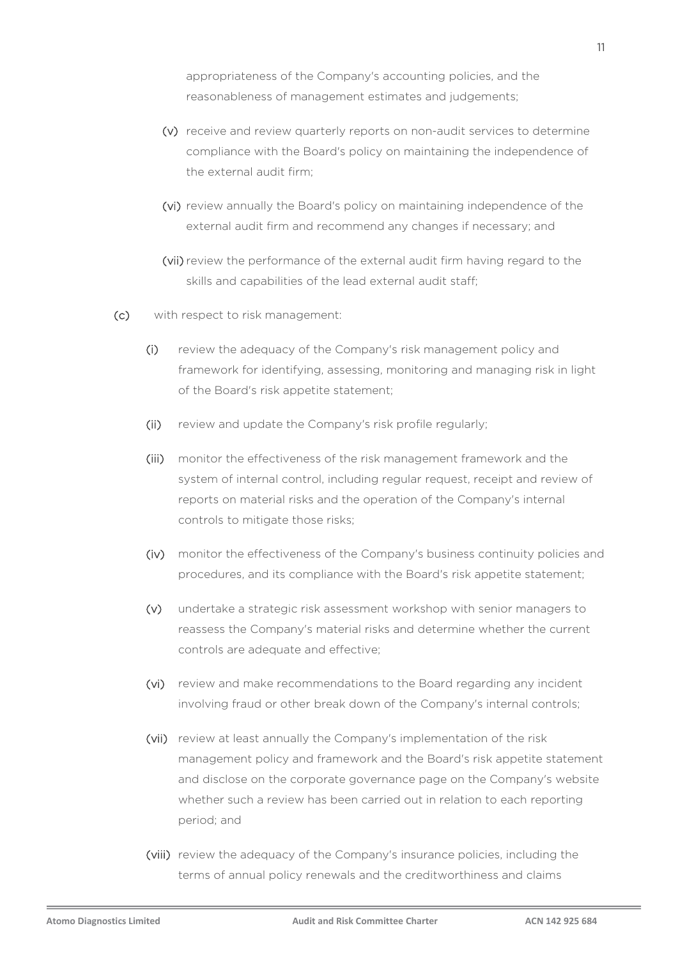appropriateness of the Company's accounting policies, and the reasonableness of management estimates and judgements;

- (v) receive and review quarterly reports on non-audit services to determine compliance with the Board's policy on maintaining the independence of the external audit firm;
- (vi) review annually the Board's policy on maintaining independence of the external audit firm and recommend any changes if necessary; and
- (vii) review the performance of the external audit firm having regard to the skills and capabilities of the lead external audit staff;
- (c) with respect to risk management:
	- (i) review the adequacy of the Company's risk management policy and framework for identifying, assessing, monitoring and managing risk in light of the Board's risk appetite statement;
	- (ii) review and update the Company's risk profile regularly;
	- (iii) monitor the effectiveness of the risk management framework and the system of internal control, including regular request, receipt and review of reports on material risks and the operation of the Company's internal controls to mitigate those risks;
	- (iv) monitor the effectiveness of the Company's business continuity policies and procedures, and its compliance with the Board's risk appetite statement;
	- (v) undertake a strategic risk assessment workshop with senior managers to reassess the Company's material risks and determine whether the current controls are adequate and effective;
	- (vi) review and make recommendations to the Board regarding any incident involving fraud or other break down of the Company's internal controls;
	- (vii) review at least annually the Company's implementation of the risk management policy and framework and the Board's risk appetite statement and disclose on the corporate governance page on the Company's website whether such a review has been carried out in relation to each reporting period; and
	- (viii) review the adequacy of the Company's insurance policies, including the terms of annual policy renewals and the creditworthiness and claims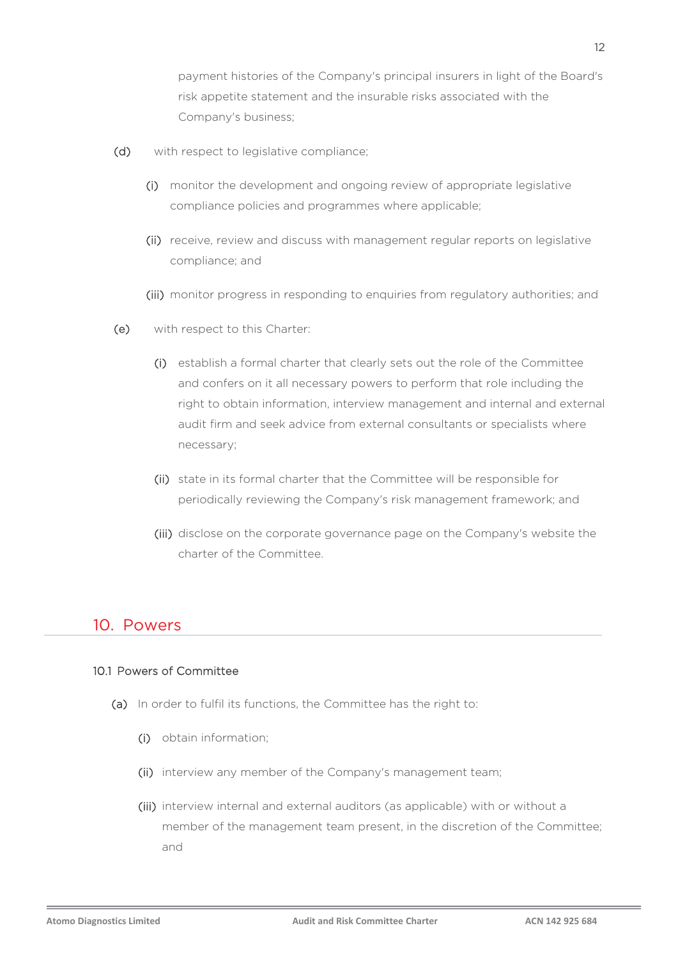payment histories of the Company's principal insurers in light of the Board's risk appetite statement and the insurable risks associated with the Company's business;

- (d) with respect to legislative compliance;
	- (i) monitor the development and ongoing review of appropriate legislative compliance policies and programmes where applicable;
	- (ii) receive, review and discuss with management regular reports on legislative compliance; and
	- (iii) monitor progress in responding to enquiries from regulatory authorities; and
- (e) with respect to this Charter:
	- (i) establish a formal charter that clearly sets out the role of the Committee and confers on it all necessary powers to perform that role including the right to obtain information, interview management and internal and external audit firm and seek advice from external consultants or specialists where necessary;
	- (ii) state in its formal charter that the Committee will be responsible for periodically reviewing the Company's risk management framework; and
	- (iii) disclose on the corporate governance page on the Company's website the charter of the Committee.

#### 10. Powers

#### 10.1 Powers of Committee

- (a) In order to fulfil its functions, the Committee has the right to:
	- (i) obtain information;
	- (ii) interview any member of the Company's management team;
	- (iii) interview internal and external auditors (as applicable) with or without a member of the management team present, in the discretion of the Committee; and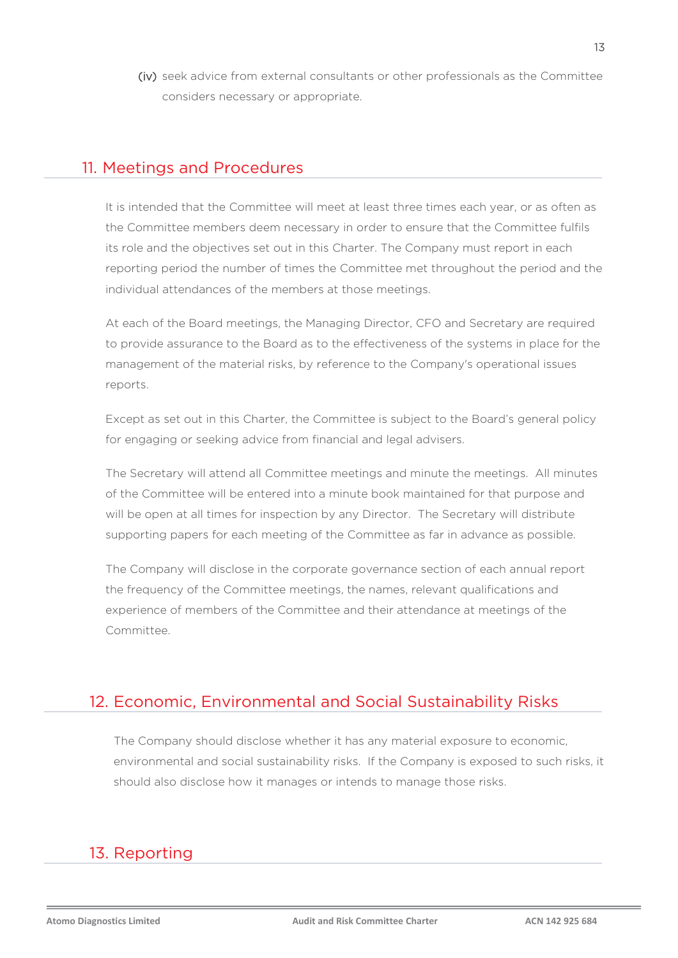(iv) seek advice from external consultants or other professionals as the Committee considers necessary or appropriate.

#### 11. Meetings and Procedures

It is intended that the Committee will meet at least three times each year, or as often as the Committee members deem necessary in order to ensure that the Committee fulfils its role and the objectives set out in this Charter. The Company must report in each reporting period the number of times the Committee met throughout the period and the individual attendances of the members at those meetings.

At each of the Board meetings, the Managing Director, CFO and Secretary are required to provide assurance to the Board as to the effectiveness of the systems in place for the management of the material risks, by reference to the Company's operational issues reports.

Except as set out in this Charter, the Committee is subject to the Board's general policy for engaging or seeking advice from financial and legal advisers.

The Secretary will attend all Committee meetings and minute the meetings. All minutes of the Committee will be entered into a minute book maintained for that purpose and will be open at all times for inspection by any Director. The Secretary will distribute supporting papers for each meeting of the Committee as far in advance as possible.

The Company will disclose in the corporate governance section of each annual report the frequency of the Committee meetings, the names, relevant qualifications and experience of members of the Committee and their attendance at meetings of the Committee.

## 12. Economic, Environmental and Social Sustainability Risks

The Company should disclose whether it has any material exposure to economic, environmental and social sustainability risks. If the Company is exposed to such risks, it should also disclose how it manages or intends to manage those risks.

# 13. Reporting